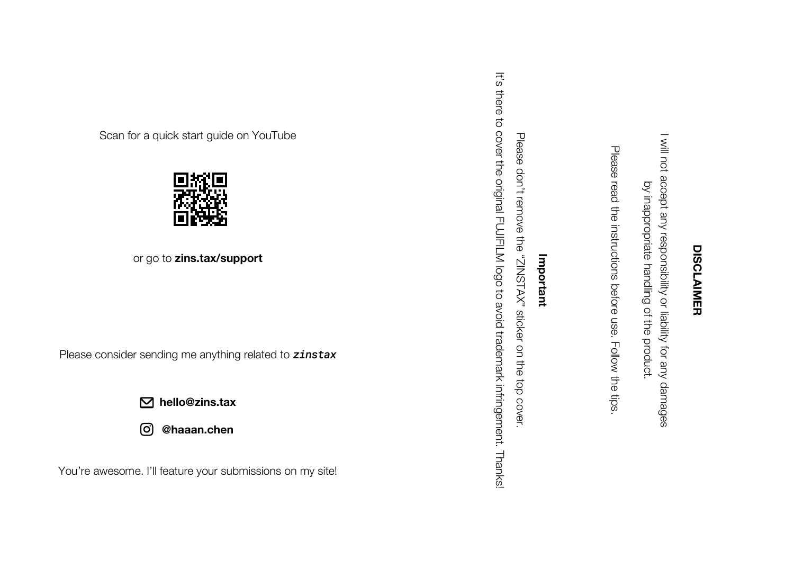## **DISCLAIMER DISCLAIMER**

I will not accept any responsibility or liability for any damages I will not accept any responsibility or liability for any damages by inappropriate handling of the product. by inappropriate handling of the product.

Please read the instructions before use. Follow the tips.

## Important **Important**

Please don't remove the "ZINSTAX" sticker on the top cover. Please don't remove the "ZINSTAX" sticker on the top cover.

It's there to cover the original FUJIFILM logo to avoid trademark infringement. It's there to cover the original FUJIFILM logo to avoid trademark infringement. Thanks!

Scan for a quick start guide on YouTube



or go to **zins.tax/support**

Please consider sending me anything related to *zinstax*

**hello@zins.tax**

**@haaan.chen** ලි

You're awesome. I'll feature your submissions on my site!